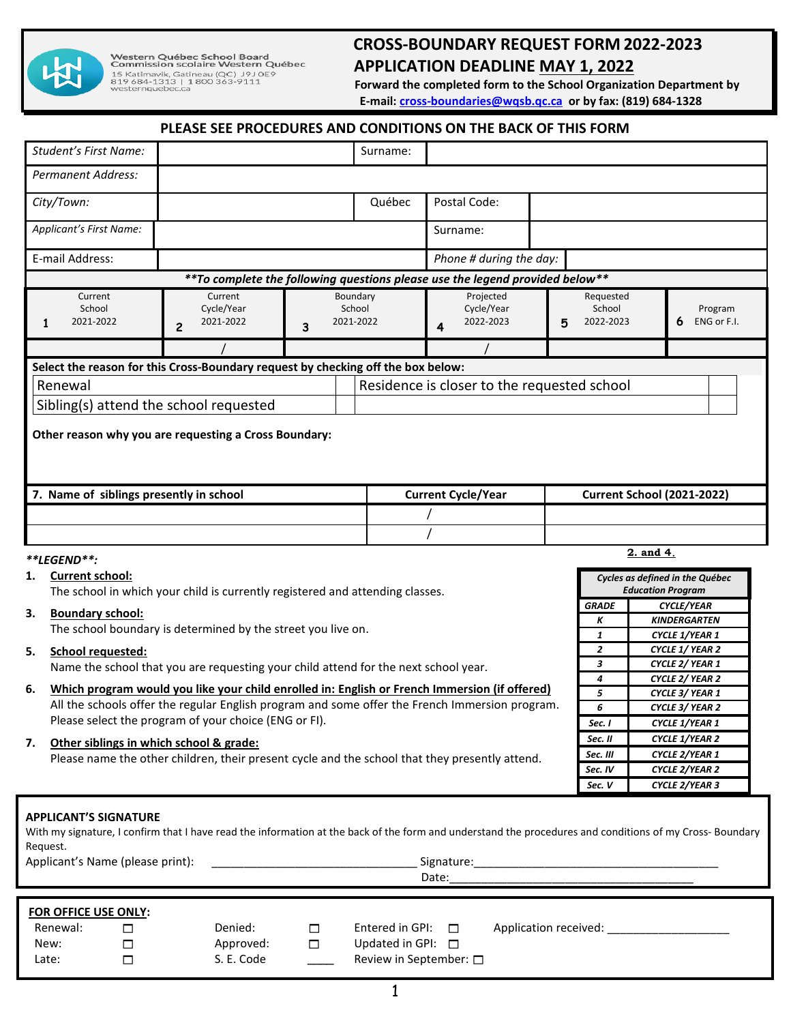

# **CROSS-BOUNDARY REQUEST FORM 2022-2023**<br>
CONDERT FORM 2022-2023<br>
CONDERT FORM 2022-2023<br>
ES Katimavik, Gatineau (QC) J9JOE9<br> **ES Katimavik, Gatineau (QC) J9JOE9**<br> **EDITION DEADLINE <u>MAY 1, 2022</u><br>
Forward the completed form APPLICATION DEADLINE MAY 1, 2022**

 **Forward the completed form to the School Organization Department by E-mail[: cross-boundaries@wqsb.qc.ca](mailto:cross-boundaries@wqsb.qc.ca) or by fax: (819) 684-1328**

### **PLEASE SEE PROCEDURES AND CONDITIONS ON THE BACK OF THIS FORM**

|                                                                                                                                                                                                                                                                                                                                                            |                             |                                                                                                |  |              | CONDITIONS ON THE DACK OF                   |                |                                                      |                     |  |  |  |
|------------------------------------------------------------------------------------------------------------------------------------------------------------------------------------------------------------------------------------------------------------------------------------------------------------------------------------------------------------|-----------------------------|------------------------------------------------------------------------------------------------|--|--------------|---------------------------------------------|----------------|------------------------------------------------------|---------------------|--|--|--|
| <b>Student's First Name:</b>                                                                                                                                                                                                                                                                                                                               |                             |                                                                                                |  | Surname:     |                                             |                |                                                      |                     |  |  |  |
| <b>Permanent Address:</b>                                                                                                                                                                                                                                                                                                                                  |                             |                                                                                                |  |              |                                             |                |                                                      |                     |  |  |  |
| City/Town:                                                                                                                                                                                                                                                                                                                                                 |                             |                                                                                                |  | Québec       | Postal Code:                                |                |                                                      |                     |  |  |  |
| Applicant's First Name:                                                                                                                                                                                                                                                                                                                                    |                             |                                                                                                |  |              | Surname:                                    |                |                                                      |                     |  |  |  |
| E-mail Address:                                                                                                                                                                                                                                                                                                                                            |                             |                                                                                                |  |              | Phone # during the day:                     |                |                                                      |                     |  |  |  |
| ** To complete the following questions please use the legend provided below **                                                                                                                                                                                                                                                                             |                             |                                                                                                |  |              |                                             |                |                                                      |                     |  |  |  |
| Current                                                                                                                                                                                                                                                                                                                                                    | Current                     |                                                                                                |  | Boundary     | Projected                                   |                | Requested                                            |                     |  |  |  |
| School                                                                                                                                                                                                                                                                                                                                                     | Cycle/Year                  | School                                                                                         |  |              | Cycle/Year                                  |                | School                                               | Program             |  |  |  |
| 2021-2022<br>1                                                                                                                                                                                                                                                                                                                                             | 2021-2022<br>$\overline{c}$ | 2021-2022<br>3                                                                                 |  |              | 2022-2023<br>4                              | 5              | 2022-2023                                            | ENG or F.I.         |  |  |  |
|                                                                                                                                                                                                                                                                                                                                                            |                             |                                                                                                |  |              |                                             |                |                                                      |                     |  |  |  |
| Select the reason for this Cross-Boundary request by checking off the box below:                                                                                                                                                                                                                                                                           |                             |                                                                                                |  |              |                                             |                |                                                      |                     |  |  |  |
| Renewal                                                                                                                                                                                                                                                                                                                                                    |                             |                                                                                                |  |              | Residence is closer to the requested school |                |                                                      |                     |  |  |  |
| Sibling(s) attend the school requested                                                                                                                                                                                                                                                                                                                     |                             |                                                                                                |  |              |                                             |                |                                                      |                     |  |  |  |
|                                                                                                                                                                                                                                                                                                                                                            |                             |                                                                                                |  |              |                                             |                |                                                      |                     |  |  |  |
| Other reason why you are requesting a Cross Boundary:                                                                                                                                                                                                                                                                                                      |                             |                                                                                                |  |              |                                             |                |                                                      |                     |  |  |  |
| 7. Name of siblings presently in school                                                                                                                                                                                                                                                                                                                    |                             |                                                                                                |  |              | <b>Current Cycle/Year</b>                   |                | <b>Current School (2021-2022)</b>                    |                     |  |  |  |
|                                                                                                                                                                                                                                                                                                                                                            |                             |                                                                                                |  |              |                                             |                |                                                      |                     |  |  |  |
|                                                                                                                                                                                                                                                                                                                                                            |                             |                                                                                                |  |              |                                             |                |                                                      |                     |  |  |  |
| **LEGEND**:                                                                                                                                                                                                                                                                                                                                                |                             |                                                                                                |  |              |                                             |                |                                                      | 2. and 4.           |  |  |  |
| <b>Current school:</b><br>1.<br>Cycles as defined in the Québec<br><b>Education Program</b><br>The school in which your child is currently registered and attending classes.                                                                                                                                                                               |                             |                                                                                                |  |              |                                             |                |                                                      |                     |  |  |  |
|                                                                                                                                                                                                                                                                                                                                                            |                             |                                                                                                |  | <b>GRADE</b> | <b>CYCLE/YEAR</b>                           |                |                                                      |                     |  |  |  |
| 3.<br><b>Boundary school:</b>                                                                                                                                                                                                                                                                                                                              |                             |                                                                                                |  |              |                                             |                |                                                      | <b>KINDERGARTEN</b> |  |  |  |
| The school boundary is determined by the street you live on.                                                                                                                                                                                                                                                                                               |                             |                                                                                                |  |              |                                             |                | 1                                                    | CYCLE 1/YEAR 1      |  |  |  |
| 5.<br><b>School requested:</b>                                                                                                                                                                                                                                                                                                                             |                             |                                                                                                |  |              |                                             |                | $\overline{2}$<br>CYCLE 1/ YEAR 2<br>CYCLE 2/ YEAR 1 |                     |  |  |  |
| $\boldsymbol{3}$<br>Name the school that you are requesting your child attend for the next school year.<br>$\boldsymbol{4}$                                                                                                                                                                                                                                |                             |                                                                                                |  |              |                                             |                | CYCLE 2/ YEAR 2                                      |                     |  |  |  |
| Which program would you like your child enrolled in: English or French Immersion (if offered)<br>6.                                                                                                                                                                                                                                                        |                             |                                                                                                |  |              |                                             | 5              | CYCLE 3/ YEAR 1                                      |                     |  |  |  |
|                                                                                                                                                                                                                                                                                                                                                            |                             | All the schools offer the regular English program and some offer the French Immersion program. |  | 6            | CYCLE 3/ YEAR 2                             |                |                                                      |                     |  |  |  |
| Please select the program of your choice (ENG or FI).                                                                                                                                                                                                                                                                                                      |                             |                                                                                                |  |              | Sec. I                                      | CYCLE 1/YEAR 1 |                                                      |                     |  |  |  |
| 7.<br>Other siblings in which school & grade:<br>Please name the other children, their present cycle and the school that they presently attend.                                                                                                                                                                                                            |                             |                                                                                                |  |              |                                             |                | Sec. II                                              | CYCLE 1/YEAR 2      |  |  |  |
|                                                                                                                                                                                                                                                                                                                                                            |                             |                                                                                                |  |              |                                             |                | Sec. III                                             | CYCLE 2/YEAR 1      |  |  |  |
|                                                                                                                                                                                                                                                                                                                                                            |                             |                                                                                                |  |              | Sec. IV                                     | CYCLE 2/YEAR 2 |                                                      |                     |  |  |  |
|                                                                                                                                                                                                                                                                                                                                                            |                             |                                                                                                |  |              |                                             |                | Sec. V                                               | CYCLE 2/YEAR 3      |  |  |  |
| <b>APPLICANT'S SIGNATURE</b><br>With my signature, I confirm that I have read the information at the back of the form and understand the procedures and conditions of my Cross- Boundary<br>Request.<br>Applicant's Name (please print):<br>Signature: the contract of the contract of the contract of the contract of the contract of the contract of the |                             |                                                                                                |  |              |                                             |                |                                                      |                     |  |  |  |

| <b>FOR OFFICE USE ONLY:</b> |            |                                                 |
|-----------------------------|------------|-------------------------------------------------|
| Renewal:                    | Denied:    | Entered in GPI: $\Box$<br>Application received: |
| New:                        | Approved:  | Updated in GPI: $\Box$                          |
| Late:                       | S. E. Code | Review in September: $\square$                  |
|                             |            |                                                 |